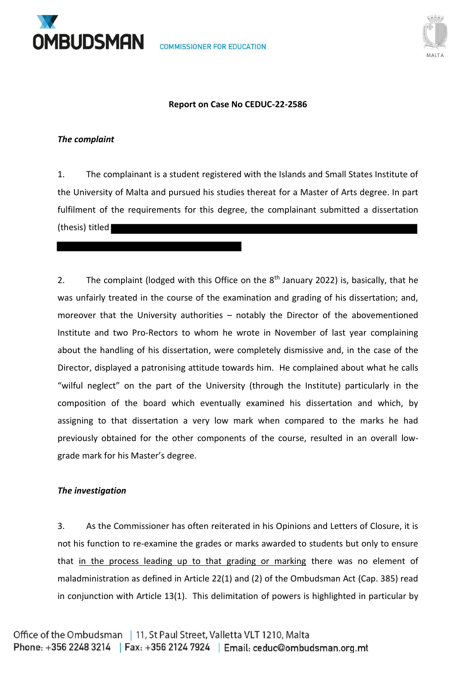



## **Report on Case No CEDUC-22-2586**

#### *The complaint*

1. The complainant is a student registered with the Islands and Small States Institute of the University of Malta and pursued his studies thereat for a Master of Arts degree. In part fulfilment of the requirements for this degree, the complainant submitted a dissertation (thesis) titled

2. The complaint (lodged with this Office on the  $8<sup>th</sup>$  January 2022) is, basically, that he was unfairly treated in the course of the examination and grading of his dissertation; and, moreover that the University authorities – notably the Director of the abovementioned Institute and two Pro-Rectors to whom he wrote in November of last year complaining about the handling of his dissertation, were completely dismissive and, in the case of the Director, displayed a patronising attitude towards him. He complained about what he calls "wilful neglect" on the part of the University (through the Institute) particularly in the composition of the board which eventually examined his dissertation and which, by assigning to that dissertation a very low mark when compared to the marks he had previously obtained for the other components of the course, resulted in an overall lowgrade mark for his Master's degree.

## *The investigation*

3. As the Commissioner has often reiterated in his Opinions and Letters of Closure, it is not his function to re-examine the grades or marks awarded to students but only to ensure that in the process leading up to that grading or marking there was no element of maladministration as defined in Article 22(1) and (2) of the Ombudsman Act (Cap. 385) read in conjunction with Article 13(1). This delimitation of powers is highlighted in particular by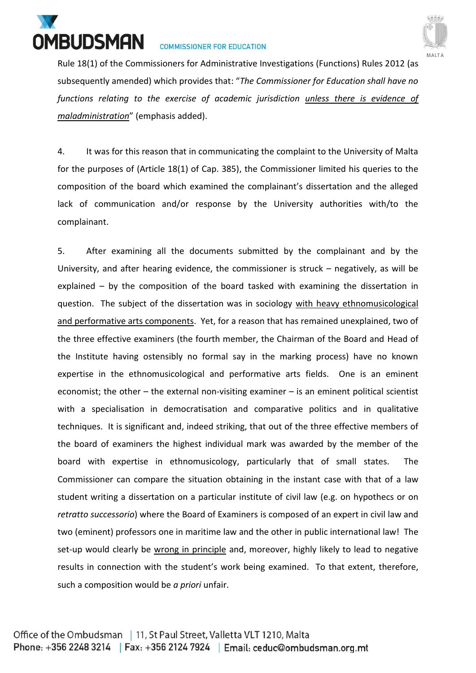



Rule 18(1) of the Commissioners for Administrative Investigations (Functions) Rules 2012 (as subsequently amended) which provides that: "*The Commissioner for Education shall have no functions relating to the exercise of academic jurisdiction unless there is evidence of maladministration*" (emphasis added).

4. It was for this reason that in communicating the complaint to the University of Malta for the purposes of (Article 18(1) of Cap. 385), the Commissioner limited his queries to the composition of the board which examined the complainant's dissertation and the alleged lack of communication and/or response by the University authorities with/to the complainant.

5. After examining all the documents submitted by the complainant and by the University, and after hearing evidence, the commissioner is struck – negatively, as will be explained – by the composition of the board tasked with examining the dissertation in question. The subject of the dissertation was in sociology with heavy ethnomusicological and performative arts components. Yet, for a reason that has remained unexplained, two of the three effective examiners (the fourth member, the Chairman of the Board and Head of the Institute having ostensibly no formal say in the marking process) have no known expertise in the ethnomusicological and performative arts fields. One is an eminent economist; the other – the external non-visiting examiner – is an eminent political scientist with a specialisation in democratisation and comparative politics and in qualitative techniques. It is significant and, indeed striking, that out of the three effective members of the board of examiners the highest individual mark was awarded by the member of the board with expertise in ethnomusicology, particularly that of small states. The Commissioner can compare the situation obtaining in the instant case with that of a law student writing a dissertation on a particular institute of civil law (e.g. on hypothecs or on *retratto successorio*) where the Board of Examiners is composed of an expert in civil law and two (eminent) professors one in maritime law and the other in public international law! The set-up would clearly be wrong in principle and, moreover, highly likely to lead to negative results in connection with the student's work being examined. To that extent, therefore, such a composition would be *a priori* unfair.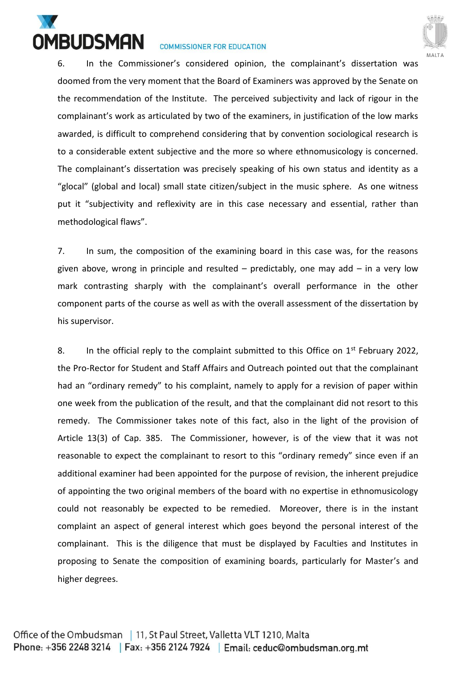



6. In the Commissioner's considered opinion, the complainant's dissertation was doomed from the very moment that the Board of Examiners was approved by the Senate on the recommendation of the Institute. The perceived subjectivity and lack of rigour in the complainant's work as articulated by two of the examiners, in justification of the low marks awarded, is difficult to comprehend considering that by convention sociological research is to a considerable extent subjective and the more so where ethnomusicology is concerned. The complainant's dissertation was precisely speaking of his own status and identity as a "glocal" (global and local) small state citizen/subject in the music sphere. As one witness put it "subjectivity and reflexivity are in this case necessary and essential, rather than methodological flaws".

7. In sum, the composition of the examining board in this case was, for the reasons given above, wrong in principle and resulted  $-$  predictably, one may add  $-$  in a very low mark contrasting sharply with the complainant's overall performance in the other component parts of the course as well as with the overall assessment of the dissertation by his supervisor.

8. In the official reply to the complaint submitted to this Office on  $1<sup>st</sup>$  February 2022, the Pro-Rector for Student and Staff Affairs and Outreach pointed out that the complainant had an "ordinary remedy" to his complaint, namely to apply for a revision of paper within one week from the publication of the result, and that the complainant did not resort to this remedy. The Commissioner takes note of this fact, also in the light of the provision of Article 13(3) of Cap. 385. The Commissioner, however, is of the view that it was not reasonable to expect the complainant to resort to this "ordinary remedy" since even if an additional examiner had been appointed for the purpose of revision, the inherent prejudice of appointing the two original members of the board with no expertise in ethnomusicology could not reasonably be expected to be remedied. Moreover, there is in the instant complaint an aspect of general interest which goes beyond the personal interest of the complainant. This is the diligence that must be displayed by Faculties and Institutes in proposing to Senate the composition of examining boards, particularly for Master's and higher degrees.